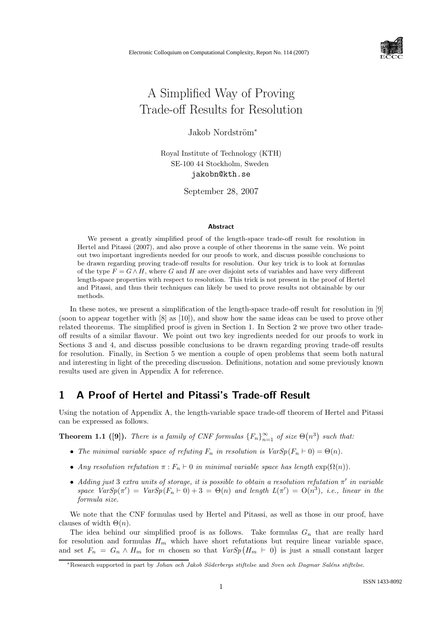

# A Simplified Way of Proving Trade-off Results for Resolution

Jakob Nordström<sup>∗</sup>

Royal Institute of Technology (KTH) SE-100 44 Stockholm, Sweden jakobn@kth.se

September 28, 2007

#### Abstract

We present a greatly simplified proof of the length-space trade-off result for resolution in Hertel and Pitassi (2007), and also prove a couple of other theorems in the same vein. We point out two important ingredients needed for our proofs to work, and discuss possible conclusions to be drawn regarding proving trade-off results for resolution. Our key trick is to look at formulas of the type  $F = G \wedge H$ , where G and H are over disjoint sets of variables and have very different length-space properties with respect to resolution. This trick is not present in the proof of Hertel and Pitassi, and thus their techniques can likely be used to prove results not obtainable by our methods.

In these notes, we present a simplification of the length-space trade-off result for resolution in [9] (soon to appear together with [8] as [10]), and show how the same ideas can be used to prove other related theorems. The simplified proof is given in Section 1. In Section 2 we prove two other tradeoff results of a similar flavour. We point out two key ingredients needed for our proofs to work in Sections 3 and 4, and discuss possible conclusions to be drawn regarding proving trade-off results for resolution. Finally, in Section 5 we mention a couple of open problems that seem both natural and interesting in light of the preceding discussion. Definitions, notation and some previously known results used are given in Appendix A for reference.

## 1 A Proof of Hertel and Pitassi's Trade-off Result

Using the notation of Appendix A, the length-variable space trade-off theorem of Hertel and Pitassi can be expressed as follows.

**Theorem 1.1** ([9]). There is a family of CNF formulas  ${F_n}_{n=1}^{\infty}$  of size  $\Theta(n^3)$  such that:

- The minimal variable space of refuting  $F_n$  in resolution is  $VarSp(F_n \vdash 0) = \Theta(n)$ .
- Any resolution refutation  $\pi : F_n \vdash 0$  in minimal variable space has length  $\exp(\Omega(n))$ .
- Adding just 3 extra units of storage, it is possible to obtain a resolution refutation  $\pi'$  in variable space  $VarSp(\pi') = VarSp(F_n \vdash 0) + 3 = \Theta(n)$  and length  $L(\pi') = O(n^3)$ , i.e., linear in the formula size.

We note that the CNF formulas used by Hertel and Pitassi, as well as those in our proof, have clauses of width  $\Theta(n)$ .

The idea behind our simplified proof is as follows. Take formulas  $G_n$  that are really hard for resolution and formulas  $H_m$  which have short refutations but require linear variable space, and set  $F_n = G_n \wedge H_m$  for m chosen so that  $VarSp(H_m \vdash 0)$  is just a small constant larger

<sup>\*</sup>Research supported in part by Johan och Jakob Söderbergs stiftelse and Sven och Dagmar Saléns stiftelse.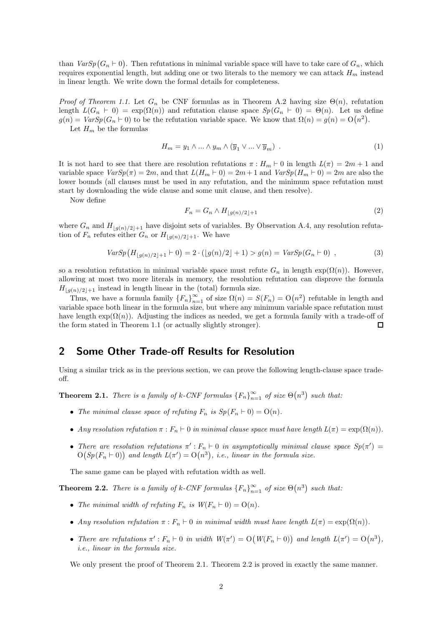than  $VarSp(G_n \vdash 0)$ . Then refutations in minimal variable space will have to take care of  $G_n$ , which requires exponential length, but adding one or two literals to the memory we can attack  $H_m$  instead in linear length. We write down the formal details for completeness.

*Proof of Theorem 1.1.* Let  $G_n$  be CNF formulas as in Theorem A.2 having size  $\Theta(n)$ , refutation length  $L(G_n \vdash 0) = \exp(\Omega(n))$  and refutation clause space  $Sp(G_n \vdash 0) = \Theta(n)$ . Let us define  $g(n) = VarSp(G_n \vdash 0)$  to be the refutation variable space. We know that  $\Omega(n) = g(n) = O(n^2)$ . Let  $H_m$  be the formulas

$$
H_m = y_1 \wedge \ldots \wedge y_m \wedge (\overline{y}_1 \vee \ldots \vee \overline{y}_m) . \tag{1}
$$

It is not hard to see that there are resolution refutations  $\pi : H_m \vdash 0$  in length  $L(\pi) = 2m + 1$  and variable space  $VarSp(\pi) = 2m$ , and that  $L(H_m \vdash 0) = 2m + 1$  and  $VarSp(H_m \vdash 0) = 2m$  are also the lower bounds (all clauses must be used in any refutation, and the minimum space refutation must start by downloading the wide clause and some unit clause, and then resolve).

Now define

$$
F_n = G_n \wedge H_{\lfloor g(n)/2 \rfloor + 1} \tag{2}
$$

where  $G_n$  and  $H_{\lfloor g(n)/2\rfloor+1}$  have disjoint sets of variables. By Observation A.4, any resolution refutation of  $F_n$  refutes either  $G_n$  or  $H_{\lfloor q(n)/2\rfloor+1}$ . We have

$$
VarSp(H_{\lfloor g(n)/2\rfloor+1} \vdash 0) = 2 \cdot (\lfloor g(n)/2\rfloor+1) > g(n) = VarSp(G_n \vdash 0) ,
$$
 (3)

so a resolution refutation in minimal variable space must refute  $G_n$  in length  $exp(\Omega(n))$ . However, allowing at most two more literals in memory, the resolution refutation can disprove the formula  $H_{\lfloor g(n)/2\rfloor+1}$  instead in length linear in the (total) formula size.

Thus, we have a formula family  ${F_n}_{n=1}^{\infty}$  of size  $\Omega(n) = S(F_n) = O(n^2)$  refutable in length and variable space both linear in the formula size, but where any minimum variable space refutation must have length  $exp(\Omega(n))$ . Adjusting the indices as needed, we get a formula family with a trade-off of the form stated in Theorem 1.1 (or actually slightly stronger).  $\Box$ 

### 2 Some Other Trade-off Results for Resolution

Using a similar trick as in the previous section, we can prove the following length-clause space tradeoff.

**Theorem 2.1.** There is a family of k-CNF formulas  ${F_n}_{n=1}^{\infty}$  of size  $\Theta(n^3)$  such that:

- The minimal clause space of refuting  $F_n$  is  $Sp(F_n \vdash 0) = O(n)$ .
- Any resolution refutation  $\pi : F_n \vdash 0$  in minimal clause space must have length  $L(\pi) = \exp(\Omega(n)).$
- There are resolution refutations  $\pi': F_n \vdash 0$  in asymptotically minimal clause space  $Sp(\pi') =$  $O(Sp(F_n \vdash 0))$  and length  $L(\pi') = O(n^3)$ , i.e., linear in the formula size.

The same game can be played with refutation width as well.

**Theorem 2.2.** There is a family of k-CNF formulas  ${F_n}_{n=1}^{\infty}$  of size  $\Theta(n^3)$  such that:

- The minimal width of refuting  $F_n$  is  $W(F_n \vdash 0) = O(n)$ .
- Any resolution refutation  $\pi : F_n \vdash 0$  in minimal width must have length  $L(\pi) = \exp(\Omega(n)).$
- There are refutations  $\pi': F_n \vdash 0$  in width  $W(\pi') = O(W(F_n \vdash 0))$  and length  $L(\pi') = O(n^3)$ , i.e., linear in the formula size.

We only present the proof of Theorem 2.1. Theorem 2.2 is proved in exactly the same manner.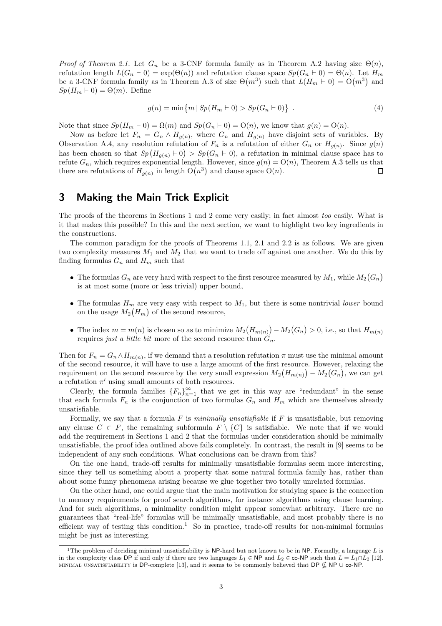Proof of Theorem 2.1. Let  $G_n$  be a 3-CNF formula family as in Theorem A.2 having size  $\Theta(n)$ , refutation length  $L(G_n \vdash 0) = \exp(\Theta(n))$  and refutation clause space  $Sp(G_n \vdash 0) = \Theta(n)$ . Let  $H_m$ be a 3-CNF formula family as in Theorem A.3 of size  $\Theta(m^3)$  such that  $L(H_m \vdash 0) = \Theta(m^3)$  and  $Sp(H_m \vdash 0) = \Theta(m)$ . Define

$$
g(n) = \min\{m \mid Sp(H_m \vdash 0) > Sp(G_n \vdash 0)\} .
$$
 (4)

Note that since  $Sp(H_m \vdash 0) = \Omega(m)$  and  $Sp(G_n \vdash 0) = \Omega(n)$ , we know that  $g(n) = \Omega(n)$ .

Now as before let  $F_n = G_n \wedge H_{g(n)}$ , where  $G_n$  and  $H_{g(n)}$  have disjoint sets of variables. By Observation A.4, any resolution refutation of  $F_n$  is a refutation of either  $G_n$  or  $H_{g(n)}$ . Since  $g(n)$ has been chosen so that  $Sp(H_{g(n)} \vdash 0) > Sp(G_n \vdash 0)$ , a refutation in minimal clause space has to refute  $G_n$ , which requires exponential length. However, since  $g(n) = O(n)$ , Theorem A.3 tells us that there are refutations of  $H_{g(n)}$  in length  $O(n^3)$  and clause space  $O(n)$ .  $\Box$ 

#### 3 Making the Main Trick Explicit

The proofs of the theorems in Sections 1 and 2 come very easily; in fact almost *too* easily. What is it that makes this possible? In this and the next section, we want to highlight two key ingredients in the constructions.

The common paradigm for the proofs of Theorems 1.1, 2.1 and 2.2 is as follows. We are given two complexity measures  $M_1$  and  $M_2$  that we want to trade off against one another. We do this by finding formulas  $G_n$  and  $H_m$  such that

- The formulas  $G_n$  are very hard with respect to the first resource measured by  $M_1$ , while  $M_2(G_n)$ is at most some (more or less trivial) upper bound,
- The formulas  $H_m$  are very easy with respect to  $M_1$ , but there is some nontrivial lower bound on the usage  $M_2(H_m)$  of the second resource,
- The index  $m = m(n)$  is chosen so as to minimize  $M_2(H_{m(n)}) M_2(G_n) > 0$ , i.e., so that  $H_{m(n)}$ requires just a little bit more of the second resource than  $G_n$ .

Then for  $F_n = G_n \wedge H_{m(n)}$ , if we demand that a resolution refutation  $\pi$  must use the minimal amount of the second resource, it will have to use a large amount of the first resource. However, relaxing the requirement on the second resource by the very small expression  $M_2(H_{m(n)}) - M_2(G_n)$ , we can get a refutation  $\pi'$  using small amounts of both resources.

Clearly, the formula families  ${F_n}_{n=1}^{\infty}$  that we get in this way are "redundant" in the sense that each formula  $F_n$  is the conjunction of two formulas  $G_n$  and  $H_m$  which are themselves already unsatisfiable.

Formally, we say that a formula  $F$  is minimally unsatisfiable if  $F$  is unsatisfiable, but removing any clause  $C \in F$ , the remaining subformula  $F \setminus \{C\}$  is satisfiable. We note that if we would add the requirement in Sections 1 and 2 that the formulas under consideration should be minimally unsatisfiable, the proof idea outlined above fails completely. In contrast, the result in [9] seems to be independent of any such conditions. What conclusions can be drawn from this?

On the one hand, trade-off results for minimally unsatisfiable formulas seem more interesting, since they tell us something about a property that some natural formula family has, rather than about some funny phenomena arising because we glue together two totally unrelated formulas.

On the other hand, one could argue that the main motivation for studying space is the connection to memory requirements for proof search algorithms, for instance algorithms using clause learning. And for such algorithms, a minimality condition might appear somewhat arbitrary. There are no guarantees that "real-life" formulas will be minimally unsatisfiable, and most probably there is no efficient way of testing this condition.<sup>1</sup> So in practice, trade-off results for non-minimal formulas might be just as interesting.

<sup>&</sup>lt;sup>1</sup>The problem of deciding minimal unsatisfiability is NP-hard but not known to be in NP. Formally, a language L is in the complexity class DP if and only if there are two languages  $L_1 \in \mathsf{NP}$  and  $L_2 \in \mathsf{co}\text{-}\mathsf{NP}$  such that  $L = L_1 \cap L_2$  [12]. MINIMAL UNSATISFIABILITY is DP-complete [13], and it seems to be commonly believed that DP  $\nsubseteq$  NP ∪ co-NP.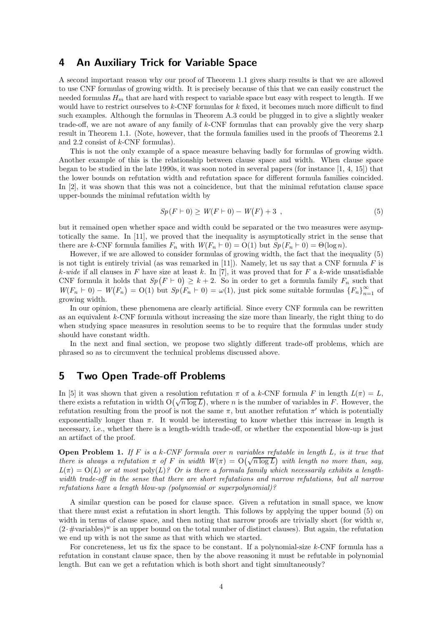#### 4 An Auxiliary Trick for Variable Space

A second important reason why our proof of Theorem 1.1 gives sharp results is that we are allowed to use CNF formulas of growing width. It is precisely because of this that we can easily construct the needed formulas  $H_m$  that are hard with respect to variable space but easy with respect to length. If we would have to restrict ourselves to  $k$ -CNF formulas for  $k$  fixed, it becomes much more difficult to find such examples. Although the formulas in Theorem A.3 could be plugged in to give a slightly weaker trade-off, we are not aware of any family of k-CNF formulas that can provably give the very sharp result in Theorem 1.1. (Note, however, that the formula families used in the proofs of Theorems 2.1 and  $2.2$  consist of  $k$ -CNF formulas).

This is not the only example of a space measure behaving badly for formulas of growing width. Another example of this is the relationship between clause space and width. When clause space began to be studied in the late 1990s, it was soon noted in several papers (for instance [1, 4, 15]) that the lower bounds on refutation width and refutation space for different formula families coincided. In [2], it was shown that this was not a coincidence, but that the minimal refutation clause space upper-bounds the minimal refutation width by

$$
Sp(F \vdash 0) \ge W(F \vdash 0) - W(F) + 3 \tag{5}
$$

but it remained open whether space and width could be separated or the two measures were asymptotically the same. In [11], we proved that the inequality is asymptotically strict in the sense that there are k-CNF formula families  $F_n$  with  $W(F_n \vdash 0) = O(1)$  but  $Sp(F_n \vdash 0) = \Theta(\log n)$ .

However, if we are allowed to consider formulas of growing width, the fact that the inequality (5) is not tight is entirely trivial (as was remarked in [11]). Namely, let us say that a CNF formula  $F$  is k-wide if all clauses in F have size at least k. In [7], it was proved that for F a k-wide unsatisfiable CNF formula it holds that  $Sp(F \vdash 0) \geq k+2$ . So in order to get a formula family  $F_n$  such that  $W(F_n \vdash 0) - W(F_n) = O(1)$  but  $Sp(F_n \vdash 0) = \omega(1)$ , just pick some suitable formulas  ${F_n}_{n=1}^{\infty}$  of growing width.

In our opinion, these phenomena are clearly artificial. Since every CNF formula can be rewritten as an equivalent  $k$ -CNF formula without increasing the size more than linearly, the right thing to do when studying space measures in resolution seems to be to require that the formulas under study should have constant width.

In the next and final section, we propose two slightly different trade-off problems, which are phrased so as to circumvent the technical problems discussed above.

#### 5 Two Open Trade-off Problems

In [5] it was shown that given a resolution refutation  $\pi$  of a k-CNF formula F in length  $L(\pi) = L$ , there exists a refutation in width  $O(\sqrt{n \log L})$ , where *n* is the number of variables in *F*. However, the refutation resulting from the proof is not the same  $\pi$ , but another refutation  $\pi'$  which is potentially exponentially longer than  $\pi$ . It would be interesting to know whether this increase in length is necessary, i.e., whether there is a length-width trade-off, or whether the exponential blow-up is just an artifact of the proof.

**Open Problem 1.** If F is a k-CNF formula over n variables refutable in length L, is it true that there is always a refutation  $\pi$  of F in width  $W(\pi) = O(\sqrt{n \log L})$  with length no more than, say,  $L(\pi) = O(L)$  or at most poly $(L)$ ? Or is there a formula family which necessarily exhibits a lengthwidth trade-off in the sense that there are short refutations and narrow refutations, but all narrow refutations have a length blow-up (polynomial or superpolynomial)?

A similar question can be posed for clause space. Given a refutation in small space, we know that there must exist a refutation in short length. This follows by applying the upper bound (5) on width in terms of clause space, and then noting that narrow proofs are trivially short (for width  $w$ ,  $(2 \cdot \text{\#variables})^w$  is an upper bound on the total number of distinct clauses). But again, the refutation we end up with is not the same as that with which we started.

For concreteness, let us fix the space to be constant. If a polynomial-size k-CNF formula has a refutation in constant clause space, then by the above reasoning it must be refutable in polynomial length. But can we get a refutation which is both short and tight simultaneously?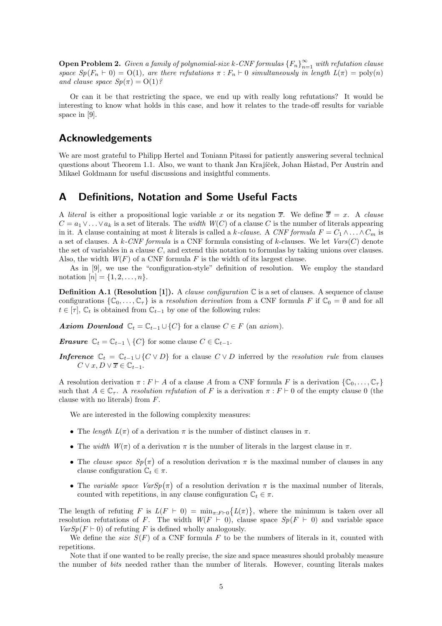**Open Problem 2.** Given a family of polynomial-size k-CNF formulas  ${F_n}_{n=1}^{\infty}$  with refutation clause space  $Sp(F_n \vdash 0) = O(1)$ , are there refutations  $\pi : F_n \vdash 0$  simultaneously in length  $L(\pi) = \text{poly}(n)$ and clause space  $Sp(\pi) = O(1)$ ?

Or can it be that restricting the space, we end up with really long refutations? It would be interesting to know what holds in this case, and how it relates to the trade-off results for variable space in [9].

#### Acknowledgements

We are most grateful to Philipp Hertel and Toniann Pitassi for patiently answering several technical questions about Theorem 1.1. Also, we want to thank Jan Krajíček, Johan Håstad, Per Austrin and Mikael Goldmann for useful discussions and insightful comments.

#### A Definitions, Notation and Some Useful Facts

A *literal* is either a propositional logic variable x or its negation  $\overline{x}$ . We define  $\overline{\overline{x}} = x$ . A *clause*  $C = a_1 \vee \ldots \vee a_k$  is a set of literals. The *width*  $W(C)$  of a clause C is the number of literals appearing in it. A clause containing at most k literals is called a k-clause. A CNF formula  $F = C_1 \wedge \ldots \wedge C_m$  is a set of clauses. A k-CNF formula is a CNF formula consisting of k-clauses. We let  $Vars(C)$  denote the set of variables in a clause  $C$ , and extend this notation to formulas by taking unions over clauses. Also, the width  $W(F)$  of a CNF formula F is the width of its largest clause.

As in [9], we use the "configuration-style" definition of resolution. We employ the standard notation  $[n] = \{1, 2, ..., n\}.$ 

**Definition A.1 (Resolution [1]).** A *clause configuration*  $\mathbb{C}$  is a set of clauses. A sequence of clause configurations  $\{\mathbb{C}_0,\ldots,\mathbb{C}_\tau\}$  is a resolution derivation from a CNF formula F if  $\mathbb{C}_0 = \emptyset$  and for all  $t \in [\tau]$ ,  $\mathbb{C}_t$  is obtained from  $\mathbb{C}_{t-1}$  by one of the following rules:

Axiom Download  $\mathbb{C}_t = \mathbb{C}_{t-1} \cup \{C\}$  for a clause  $C \in F$  (an axiom).

**Erasure**  $\mathbb{C}_t = \mathbb{C}_{t-1} \setminus \{C\}$  for some clause  $C \in \mathbb{C}_{t-1}$ .

**Inference**  $\mathbb{C}_t = \mathbb{C}_{t-1} \cup \{C \vee D\}$  for a clause  $C \vee D$  inferred by the *resolution rule* from clauses  $C \vee x, D \vee \overline{x} \in \mathbb{C}_{t-1}.$ 

A resolution derivation  $\pi : F \vdash A$  of a clause A from a CNF formula F is a derivation  $\{\mathbb{C}_0, \ldots, \mathbb{C}_\tau\}$ such that  $A \in \mathbb{C}_{\tau}$ . A resolution refutation of F is a derivation  $\pi : F \vdash 0$  of the empty clause 0 (the clause with no literals) from F.

We are interested in the following complexity measures:

- The length  $L(\pi)$  of a derivation  $\pi$  is the number of distinct clauses in  $\pi$ .
- The width  $W(\pi)$  of a derivation  $\pi$  is the number of literals in the largest clause in  $\pi$ .
- The clause space  $Sp(\pi)$  of a resolution derivation  $\pi$  is the maximal number of clauses in any clause configuration  $\mathbb{C}_t \in \pi$ .
- The variable space  $VarSp(\pi)$  of a resolution derivation  $\pi$  is the maximal number of literals, counted with repetitions, in any clause configuration  $\mathbb{C}_t \in \pi$ .

The length of refuting  $F$  is  $L(F \vdash 0) = \min_{\pi: F \vdash 0} \{L(\pi)\}\,$ , where the minimum is taken over all resolution refutations of F. The width  $W(F \vdash 0)$ , clause space  $Sp(F \vdash 0)$  and variable space  $VarSp(F \vdash 0)$  of refuting F is defined wholly analogously.

We define the size  $S(F)$  of a CNF formula F to be the numbers of literals in it, counted with repetitions.

Note that if one wanted to be really precise, the size and space measures should probably measure the number of bits needed rather than the number of literals. However, counting literals makes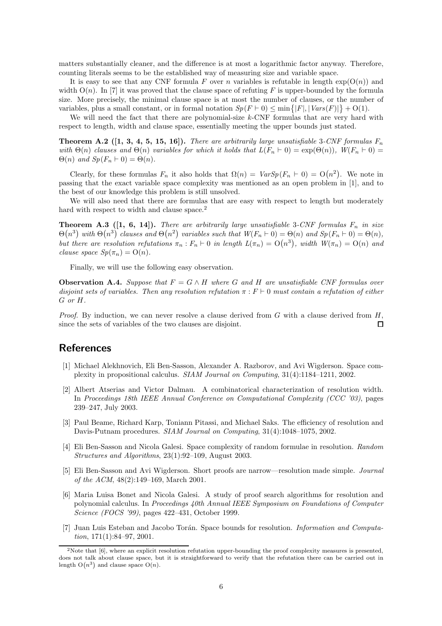matters substantially cleaner, and the difference is at most a logarithmic factor anyway. Therefore, counting literals seems to be the established way of measuring size and variable space.

It is easy to see that any CNF formula F over n variables is refutable in length  $exp(O(n))$  and width  $O(n)$ . In [7] it was proved that the clause space of refuting F is upper-bounded by the formula size. More precisely, the minimal clause space is at most the number of clauses, or the number of variables, plus a small constant, or in formal notation  $Sp(F \vdash 0) \le \min\{|F|, |Vars(F)|\} + O(1)$ .

We will need the fact that there are polynomial-size  $k$ -CNF formulas that are very hard with respect to length, width and clause space, essentially meeting the upper bounds just stated.

**Theorem A.2** ([1, 3, 4, 5, 15, 16]). There are arbitrarily large unsatisfiable 3-CNF formulas  $F_n$ with  $\Theta(n)$  clauses and  $\Theta(n)$  variables for which it holds that  $L(F_n \vdash 0) = \exp(\Theta(n))$ ,  $W(F_n \vdash 0) =$  $\Theta(n)$  and  $Sp(F_n \vdash 0) = \Theta(n)$ .

Clearly, for these formulas  $F_n$  it also holds that  $\Omega(n) = VarSp(F_n \vdash 0) = O(n^2)$ . We note in passing that the exact variable space complexity was mentioned as an open problem in [1], and to the best of our knowledge this problem is still unsolved.

We will also need that there are formulas that are easy with respect to length but moderately hard with respect to width and clause space.<sup>2</sup>

**Theorem A.3** ([1, 6, 14]). There are arbitrarily large unsatisfiable 3-CNF formulas  $F_n$  in size  $\Theta(n^3)$  with  $\Theta(n^3)$  clauses and  $\Theta(n^2)$  variables such that  $W(F_n \vdash 0) = \Theta(n)$  and  $Sp(F_n \vdash 0) = \Theta(n)$ , but there are resolution refutations  $\pi_n : F_n \vdash 0$  in length  $L(\pi_n) = O(n^3)$ , width  $W(\pi_n) = O(n)$  and clause space  $Sp(\pi_n) = O(n)$ .

Finally, we will use the following easy observation.

**Observation A.4.** Suppose that  $F = G \wedge H$  where G and H are unsatisfiable CNF formulas over disjoint sets of variables. Then any resolution refutation  $\pi : F \vdash 0$  must contain a refutation of either G or H.

*Proof.* By induction, we can never resolve a clause derived from  $G$  with a clause derived from  $H$ , since the sets of variables of the two clauses are disjoint.  $\Box$ 

#### **References**

- [1] Michael Alekhnovich, Eli Ben-Sasson, Alexander A. Razborov, and Avi Wigderson. Space complexity in propositional calculus. SIAM Journal on Computing, 31(4):1184–1211, 2002.
- [2] Albert Atserias and Victor Dalmau. A combinatorical characterization of resolution width. In Proceedings 18th IEEE Annual Conference on Computational Complexity (CCC '03), pages 239–247, July 2003.
- [3] Paul Beame, Richard Karp, Toniann Pitassi, and Michael Saks. The efficiency of resolution and Davis-Putnam procedures. SIAM Journal on Computing, 31(4):1048–1075, 2002.
- [4] Eli Ben-Sasson and Nicola Galesi. Space complexity of random formulae in resolution. Random Structures and Algorithms, 23(1):92–109, August 2003.
- [5] Eli Ben-Sasson and Avi Wigderson. Short proofs are narrow—resolution made simple. Journal of the ACM, 48(2):149–169, March 2001.
- [6] Maria Luisa Bonet and Nicola Galesi. A study of proof search algorithms for resolution and polynomial calculus. In Proceedings 40th Annual IEEE Symposium on Foundations of Computer Science (FOCS '99), pages 422–431, October 1999.
- [7] Juan Luis Esteban and Jacobo Torán. Space bounds for resolution. *Information and Computa*tion, 171(1):84–97, 2001.

<sup>2</sup>Note that [6], where an explicit resolution refutation upper-bounding the proof complexity measures is presented, does not talk about clause space, but it is straightforward to verify that the refutation there can be carried out in length  $O(n^3)$  and clause space  $O(n)$ .